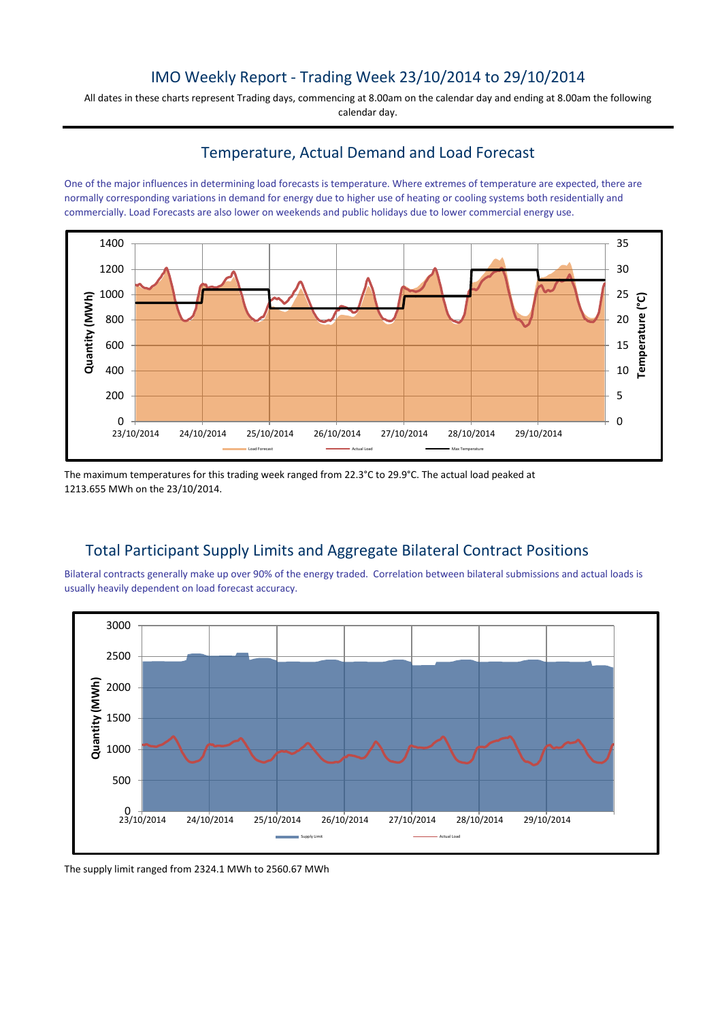## IMO Weekly Report - Trading Week 23/10/2014 to 29/10/2014

All dates in these charts represent Trading days, commencing at 8.00am on the calendar day and ending at 8.00am the following calendar day.

# Temperature, Actual Demand and Load Forecast

One of the major influences in determining load forecasts is temperature. Where extremes of temperature are expected, there are normally corresponding variations in demand for energy due to higher use of heating or cooling systems both residentially and commercially. Load Forecasts are also lower on weekends and public holidays due to lower commercial energy use.



The maximum temperatures for this trading week ranged from 22.3°C to 29.9°C. The actual load peaked at 1213.655 MWh on the 23/10/2014.

## Total Participant Supply Limits and Aggregate Bilateral Contract Positions

Bilateral contracts generally make up over 90% of the energy traded. Correlation between bilateral submissions and actual loads is usually heavily dependent on load forecast accuracy.



The supply limit ranged from 2324.1 MWh to 2560.67 MWh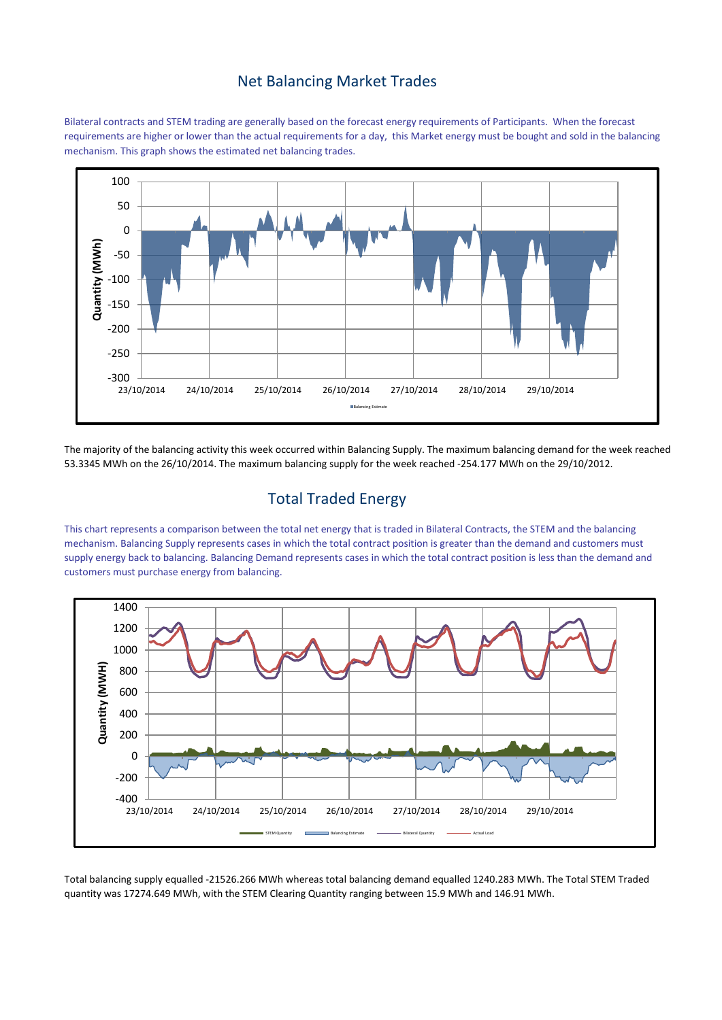#### Net Balancing Market Trades

Bilateral contracts and STEM trading are generally based on the forecast energy requirements of Participants. When the forecast requirements are higher or lower than the actual requirements for a day, this Market energy must be bought and sold in the balancing mechanism. This graph shows the estimated net balancing trades.



The majority of the balancing activity this week occurred within Balancing Supply. The maximum balancing demand for the week reached 53.3345 MWh on the 26/10/2014. The maximum balancing supply for the week reached -254.177 MWh on the 29/10/2012.

## Total Traded Energy

This chart represents a comparison between the total net energy that is traded in Bilateral Contracts, the STEM and the balancing mechanism. Balancing Supply represents cases in which the total contract position is greater than the demand and customers must supply energy back to balancing. Balancing Demand represents cases in which the total contract position is less than the demand and customers must purchase energy from balancing.



Total balancing supply equalled -21526.266 MWh whereas total balancing demand equalled 1240.283 MWh. The Total STEM Traded quantity was 17274.649 MWh, with the STEM Clearing Quantity ranging between 15.9 MWh and 146.91 MWh.